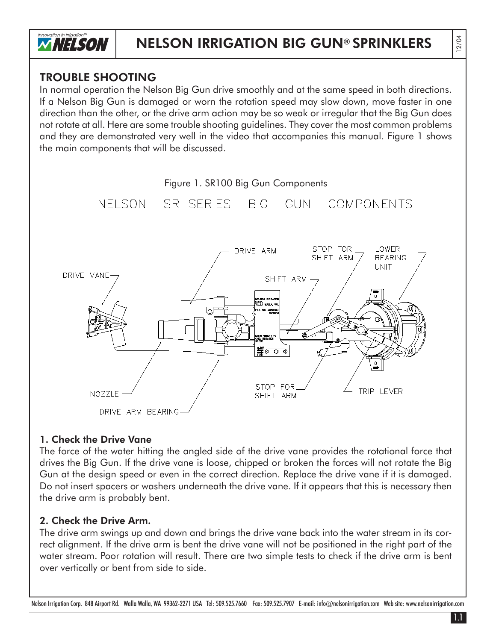

## TROUBLE SHOOTING

In normal operation the Nelson Big Gun drive smoothly and at the same speed in both directions. If a Nelson Big Gun is damaged or worn the rotation speed may slow down, move faster in one direction than the other, or the drive arm action may be so weak or irregular that the Big Gun does not rotate at all. Here are some trouble shooting guidelines. They cover the most common problems and they are demonstrated very well in the video that accompanies this manual. Figure 1 shows the main components that will be discussed.



## 1. Check the Drive Vane

The force of the water hitting the angled side of the drive vane provides the rotational force that drives the Big Gun. If the drive vane is loose, chipped or broken the forces will not rotate the Big Gun at the design speed or even in the correct direction. Replace the drive vane if it is damaged. Do not insert spacers or washers underneath the drive vane. If it appears that this is necessary then the drive arm is probably bent.

## 2. Check the Drive Arm.

The drive arm swings up and down and brings the drive vane back into the water stream in its correct alignment. If the drive arm is bent the drive vane will not be positioned in the right part of the water stream. Poor rotation will result. There are two simple tests to check if the drive arm is bent over vertically or bent from side to side.

Nelson Irrigation Corp. 848 Airport Rd. Walla Walla, WA 99362-2271 USA Tel: 509.525.7660 Fax: 509.525.7907 E-mail: info@nelsonirrigation.com Web site: www.nelsonirrigation.com

1.1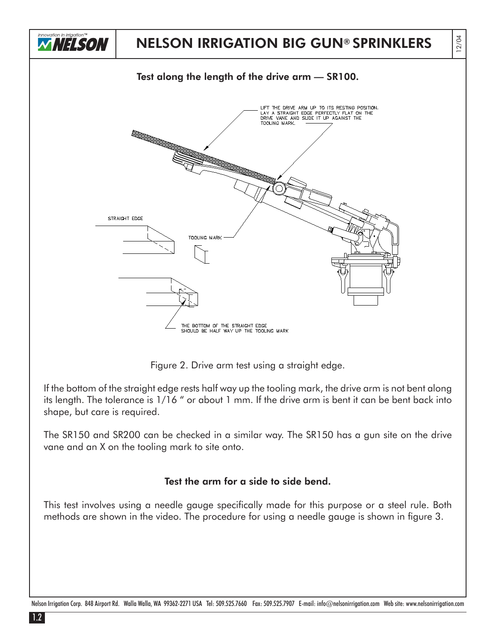

Figure 2. Drive arm test using a straight edge.

If the bottom of the straight edge rests half way up the tooling mark, the drive arm is not bent along its length. The tolerance is 1/16 " or about 1 mm. If the drive arm is bent it can be bent back into shape, but care is required.

The SR150 and SR200 can be checked in a similar way. The SR150 has a gun site on the drive vane and an X on the tooling mark to site onto.

## Test the arm for a side to side bend.

This test involves using a needle gauge specifically made for this purpose or a steel rule. Both methods are shown in the video. The procedure for using a needle gauge is shown in figure 3.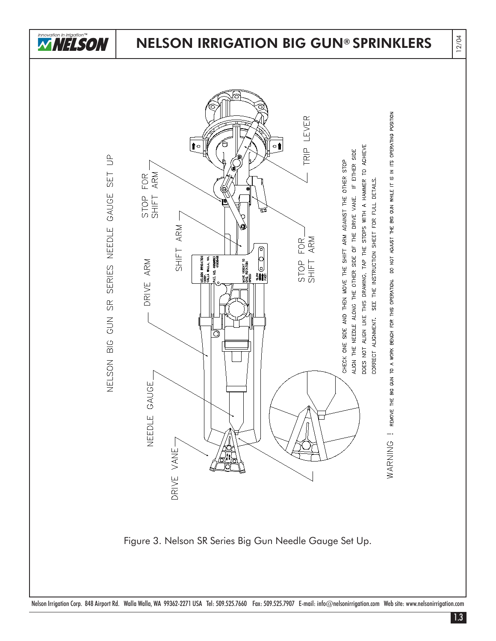

12/04





Figure 3. Nelson SR Series Big Gun Needle Gauge Set Up.

Nelson Irrigation Corp. 848 Airport Rd. Walla Walla, WA 99362-2271 USA Tel: 509.525.7660 Fax: 509.525.7907 E-mail: info@nelsonirrigation.com Web site: www.nelsonirrigation.com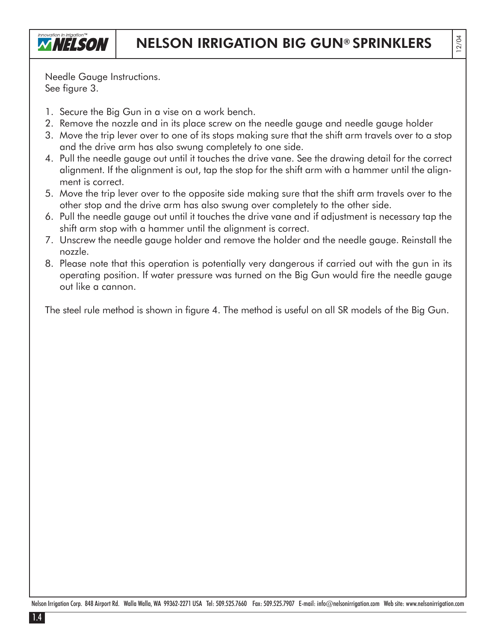

12/04

Needle Gauge Instructions. See figure 3.

- 1. Secure the Big Gun in a vise on a work bench.
- 2. Remove the nozzle and in its place screw on the needle gauge and needle gauge holder
- 3. Move the trip lever over to one of its stops making sure that the shift arm travels over to a stop and the drive arm has also swung completely to one side.
- 4. Pull the needle gauge out until it touches the drive vane. See the drawing detail for the correct alignment. If the alignment is out, tap the stop for the shift arm with a hammer until the alignment is correct.
- 5. Move the trip lever over to the opposite side making sure that the shift arm travels over to the other stop and the drive arm has also swung over completely to the other side.
- 6. Pull the needle gauge out until it touches the drive vane and if adjustment is necessary tap the shift arm stop with a hammer until the alignment is correct.
- 7. Unscrew the needle gauge holder and remove the holder and the needle gauge. Reinstall the nozzle.
- 8. Please note that this operation is potentially very dangerous if carried out with the gun in its operating position. If water pressure was turned on the Big Gun would fire the needle gauge out like a cannon.

The steel rule method is shown in figure 4. The method is useful on all SR models of the Big Gun.

Nelson Irrigation Corp. 848 Airport Rd. Walla Walla, WA 99362-2271 USA Tel: 509.525.7660 Fax: 509.525.7907 E-mail: info@nelsonirrigation.com Web site: www.nelsonirrigation.com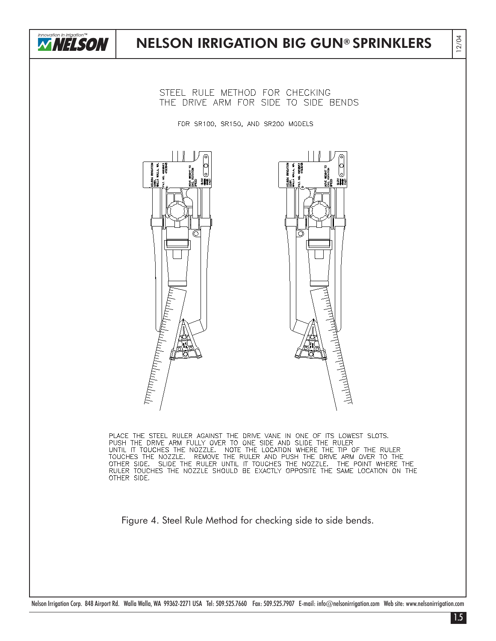

STEEL RULE METHOD FOR CHECKING THE DRIVE ARM FOR SIDE TO SIDE BENDS

FOR SR100, SR150, AND SR200 MODELS



PLACE THE STEEL RULER AGAINST THE DRIVE VANE IN ONE OF ITS LOWEST SLOTS.<br>PUSH THE DRIVE ARM FULLY OVER TO ONE SIDE AND SLIDE THE RULER<br>UNTIL IT TOUCHES THE NOZZLE. NOTE THE LOCATION WHERE THE TIP OF THE RULER<br>TOUCHES THE N OTHER SIDE. SLIDE THE RULER UNTIL IT TOUCHES THE NOZZLE. THE POINT WHERE THE<br>RULER TOUCHES THE NOZZLE SHOULD BE EXACTLY OPPOSITE THE SAME LOCATION ON THE<br>OTHER SIDE.

Figure 4. Steel Rule Method for checking side to side bends.

Nelson Irrigation Corp. 848 Airport Rd. Walla Walla, WA 99362-2271 USA Tel: 509.525.7660 Fax: 509.525.7907 E-mail: info@nelsonirrigation.com Web site: www.nelsonirrigation.com

12/04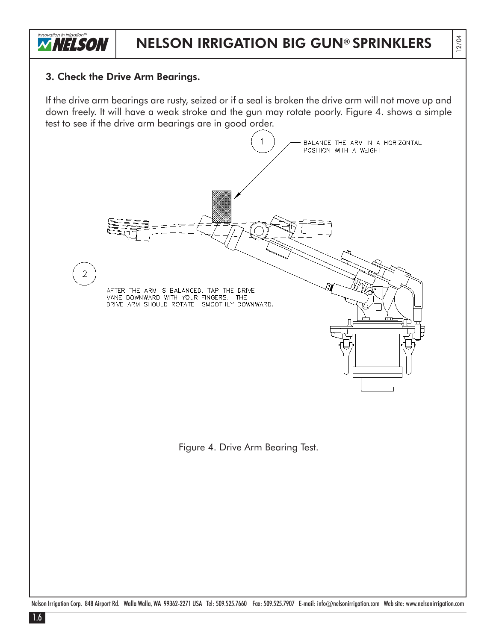

12/04

#### 3. Check the Drive Arm Bearings.

If the drive arm bearings are rusty, seized or if a seal is broken the drive arm will not move up and down freely. It will have a weak stroke and the gun may rotate poorly. Figure 4. shows a simple test to see if the drive arm bearings are in good order.



Nelson Irrigation Corp. 848 Airport Rd. Walla Walla, WA 99362-2271 USA Tel: 509.525.7660 Fax: 509.525.7907 E-mail: info@nelsonirrigation.com Web site: www.nelsonirrigation.com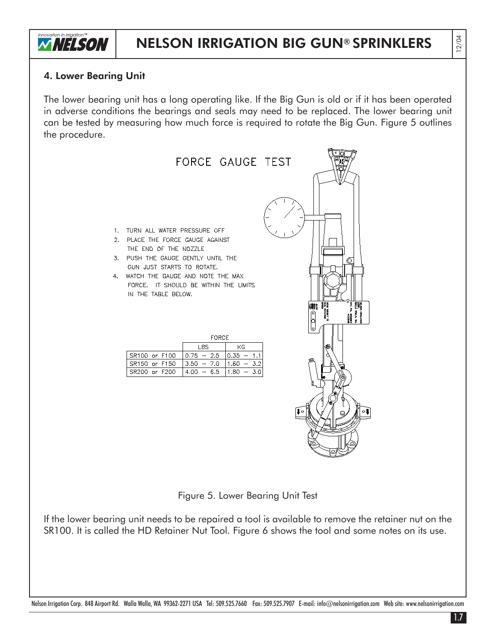

#### 4. Lower Bearing Unit

The lower bearing unit has a long operating like. If the Big Gun is old or if it has been operated in adverse conditions the bearings and seals may need to be replaced. The lower bearing unit can be tested by measuring how much force is required to rotate the Big Gun. Figure 5 outlines the procedure.



Nelson Irrigation Corp. 848 Airport Rd. Walla Walla, WA 99362-2271 USA Tel: 509.525.7660 Fax: 509.525.7907 E-mail: info@nelsonirrigation.com Web site: www.nelsonirrigation.com

12/04

1.7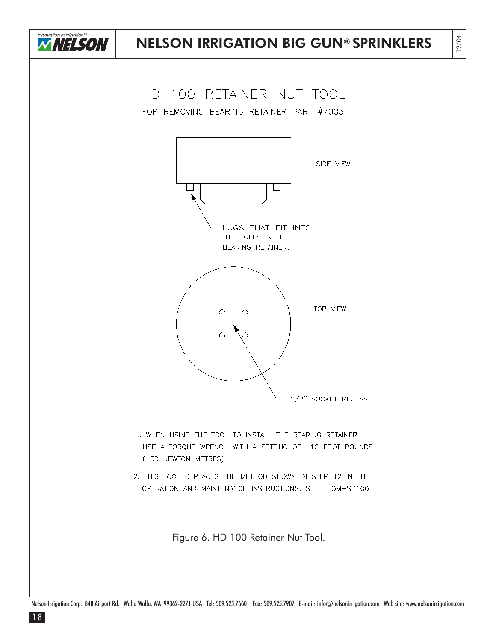

Nelson Irrigation Corp. 848 Airport Rd. Walla Walla, WA 99362-2271 USA Tel: 509.525.7660 Fax: 509.525.7907 E-mail: info@nelsonirrigation.com Web site: www.nelsonirrigation.com